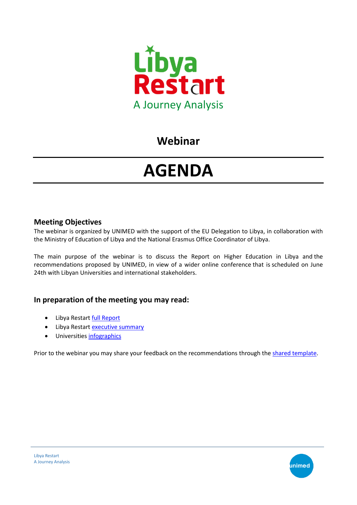

## **Webinar**

# **AGENDA**

#### **Meeting Objectives**

The webinar is organized by UNIMED with the support of the EU Delegation to Libya, in collaboration with the Ministry of Education of Libya and the National Erasmus Office Coordinator of Libya.

The main purpose of the webinar is to discuss the Report on Higher Education in Libya and the recommendations proposed by UNIMED, in view of a wider online conference that is scheduled on June 24th with Libyan Universities and international stakeholders.

#### **In preparation of the meeting you may read:**

- Libya Restart [full Report](https://www.uni-med.net/wp-content/uploads/2020/01/Libya-Restart-UNIMED.pdf)
- Libya Restart [executive summary](https://www.uni-med.net/wp-content/uploads/2020/01/Libya_Restart_final_compressed.pdf)
- Universitie[s infographics](https://www.uni-med.net/libya-restart-infographic-of-participating-universities/)

Prior to the webinar you may share your feedback on the recommendations through the [shared template.](https://www.uni-med.net/wp-content/uploads/2020/06/Libya-Restart_one-slide.pptx)